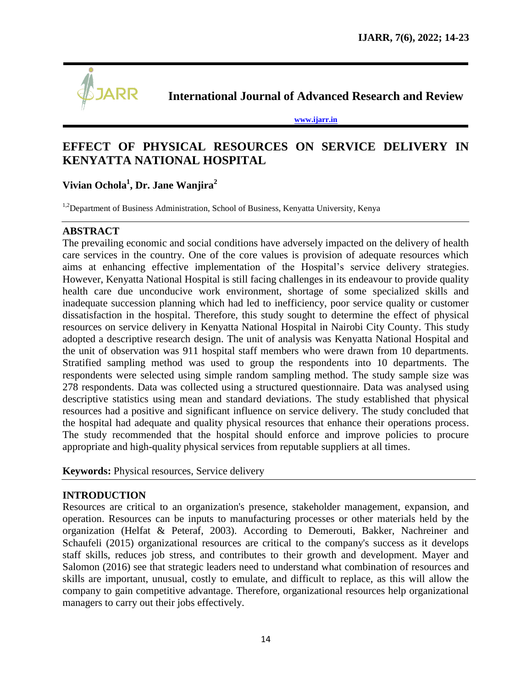

**International Journal of Advanced Research and Review**

**[www.ijarr.in](http://www.ijarr.in/)**

# **EFFECT OF PHYSICAL RESOURCES ON SERVICE DELIVERY IN KENYATTA NATIONAL HOSPITAL**

**Vivian Ochola<sup>1</sup> , Dr. Jane Wanjira<sup>2</sup>**

<sup>1,2</sup>Department of Business Administration, School of Business, Kenyatta University, Kenya

# **ABSTRACT**

The prevailing economic and social conditions have adversely impacted on the delivery of health care services in the country. One of the core values is provision of adequate resources which aims at enhancing effective implementation of the Hospital's service delivery strategies. However, Kenyatta National Hospital is still facing challenges in its endeavour to provide quality health care due unconducive work environment, shortage of some specialized skills and inadequate succession planning which had led to inefficiency, poor service quality or customer dissatisfaction in the hospital. Therefore, this study sought to determine the effect of physical resources on service delivery in Kenyatta National Hospital in Nairobi City County. This study adopted a descriptive research design. The unit of analysis was Kenyatta National Hospital and the unit of observation was 911 hospital staff members who were drawn from 10 departments. Stratified sampling method was used to group the respondents into 10 departments. The respondents were selected using simple random sampling method. The study sample size was 278 respondents. Data was collected using a structured questionnaire. Data was analysed using descriptive statistics using mean and standard deviations. The study established that physical resources had a positive and significant influence on service delivery. The study concluded that the hospital had adequate and quality physical resources that enhance their operations process. The study recommended that the hospital should enforce and improve policies to procure appropriate and high-quality physical services from reputable suppliers at all times.

**Keywords:** Physical resources, Service delivery

# **INTRODUCTION**

Resources are critical to an organization's presence, stakeholder management, expansion, and operation. Resources can be inputs to manufacturing processes or other materials held by the organization (Helfat & Peteraf, 2003). According to Demerouti, Bakker, Nachreiner and Schaufeli (2015) organizational resources are critical to the company's success as it develops staff skills, reduces job stress, and contributes to their growth and development. Mayer and Salomon (2016) see that strategic leaders need to understand what combination of resources and skills are important, unusual, costly to emulate, and difficult to replace, as this will allow the company to gain competitive advantage. Therefore, organizational resources help organizational managers to carry out their jobs effectively.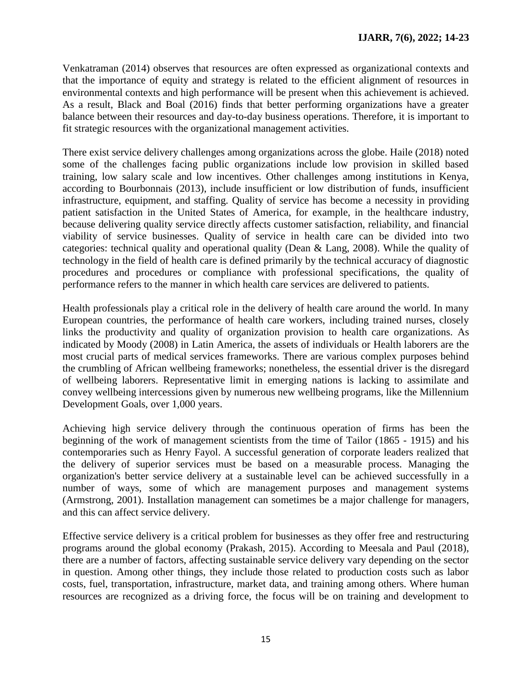Venkatraman (2014) observes that resources are often expressed as organizational contexts and that the importance of equity and strategy is related to the efficient alignment of resources in environmental contexts and high performance will be present when this achievement is achieved. As a result, Black and Boal (2016) finds that better performing organizations have a greater balance between their resources and day-to-day business operations. Therefore, it is important to fit strategic resources with the organizational management activities.

There exist service delivery challenges among organizations across the globe. Haile (2018) noted some of the challenges facing public organizations include low provision in skilled based training, low salary scale and low incentives. Other challenges among institutions in Kenya, according to Bourbonnais (2013), include insufficient or low distribution of funds, insufficient infrastructure, equipment, and staffing. Quality of service has become a necessity in providing patient satisfaction in the United States of America, for example, in the healthcare industry, because delivering quality service directly affects customer satisfaction, reliability, and financial viability of service businesses. Quality of service in health care can be divided into two categories: technical quality and operational quality (Dean & Lang, 2008). While the quality of technology in the field of health care is defined primarily by the technical accuracy of diagnostic procedures and procedures or compliance with professional specifications, the quality of performance refers to the manner in which health care services are delivered to patients.

Health professionals play a critical role in the delivery of health care around the world. In many European countries, the performance of health care workers, including trained nurses, closely links the productivity and quality of organization provision to health care organizations. As indicated by Moody (2008) in Latin America, the assets of individuals or Health laborers are the most crucial parts of medical services frameworks. There are various complex purposes behind the crumbling of African wellbeing frameworks; nonetheless, the essential driver is the disregard of wellbeing laborers. Representative limit in emerging nations is lacking to assimilate and convey wellbeing intercessions given by numerous new wellbeing programs, like the Millennium Development Goals, over 1,000 years.

Achieving high service delivery through the continuous operation of firms has been the beginning of the work of management scientists from the time of Tailor (1865 - 1915) and his contemporaries such as Henry Fayol. A successful generation of corporate leaders realized that the delivery of superior services must be based on a measurable process. Managing the organization's better service delivery at a sustainable level can be achieved successfully in a number of ways, some of which are management purposes and management systems (Armstrong, 2001). Installation management can sometimes be a major challenge for managers, and this can affect service delivery.

Effective service delivery is a critical problem for businesses as they offer free and restructuring programs around the global economy (Prakash, 2015). According to Meesala and Paul (2018), there are a number of factors, affecting sustainable service delivery vary depending on the sector in question. Among other things, they include those related to production costs such as labor costs, fuel, transportation, infrastructure, market data, and training among others. Where human resources are recognized as a driving force, the focus will be on training and development to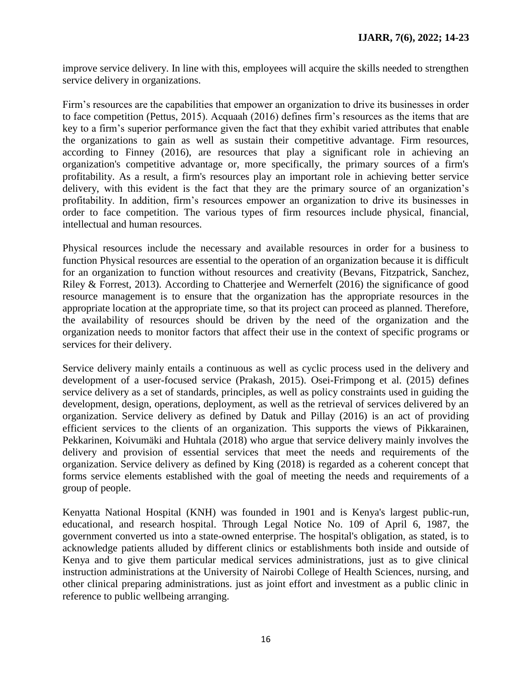improve service delivery. In line with this, employees will acquire the skills needed to strengthen service delivery in organizations.

Firm"s resources are the capabilities that empower an organization to drive its businesses in order to face competition (Pettus, 2015). Acquaah (2016) defines firm"s resources as the items that are key to a firm"s superior performance given the fact that they exhibit varied attributes that enable the organizations to gain as well as sustain their competitive advantage. Firm resources, according to Finney (2016), are resources that play a significant role in achieving an organization's competitive advantage or, more specifically, the primary sources of a firm's profitability. As a result, a firm's resources play an important role in achieving better service delivery, with this evident is the fact that they are the primary source of an organization's profitability. In addition, firm"s resources empower an organization to drive its businesses in order to face competition. The various types of firm resources include physical, financial, intellectual and human resources.

Physical resources include the necessary and available resources in order for a business to function Physical resources are essential to the operation of an organization because it is difficult for an organization to function without resources and creativity (Bevans, Fitzpatrick, Sanchez, Riley & Forrest, 2013). According to Chatterjee and Wernerfelt (2016) the significance of good resource management is to ensure that the organization has the appropriate resources in the appropriate location at the appropriate time, so that its project can proceed as planned. Therefore, the availability of resources should be driven by the need of the organization and the organization needs to monitor factors that affect their use in the context of specific programs or services for their delivery.

Service delivery mainly entails a continuous as well as cyclic process used in the delivery and development of a user-focused service (Prakash, 2015). Osei-Frimpong et al. (2015) defines service delivery as a set of standards, principles, as well as policy constraints used in guiding the development, design, operations, deployment, as well as the retrieval of services delivered by an organization. Service delivery as defined by Datuk and Pillay (2016) is an act of providing efficient services to the clients of an organization. This supports the views of Pikkarainen, Pekkarinen, Koivumäki and Huhtala (2018) who argue that service delivery mainly involves the delivery and provision of essential services that meet the needs and requirements of the organization. Service delivery as defined by King (2018) is regarded as a coherent concept that forms service elements established with the goal of meeting the needs and requirements of a group of people.

Kenyatta National Hospital (KNH) was founded in 1901 and is Kenya's largest public-run, educational, and research hospital. Through Legal Notice No. 109 of April 6, 1987, the government converted us into a state-owned enterprise. The hospital's obligation, as stated, is to acknowledge patients alluded by different clinics or establishments both inside and outside of Kenya and to give them particular medical services administrations, just as to give clinical instruction administrations at the University of Nairobi College of Health Sciences, nursing, and other clinical preparing administrations. just as joint effort and investment as a public clinic in reference to public wellbeing arranging.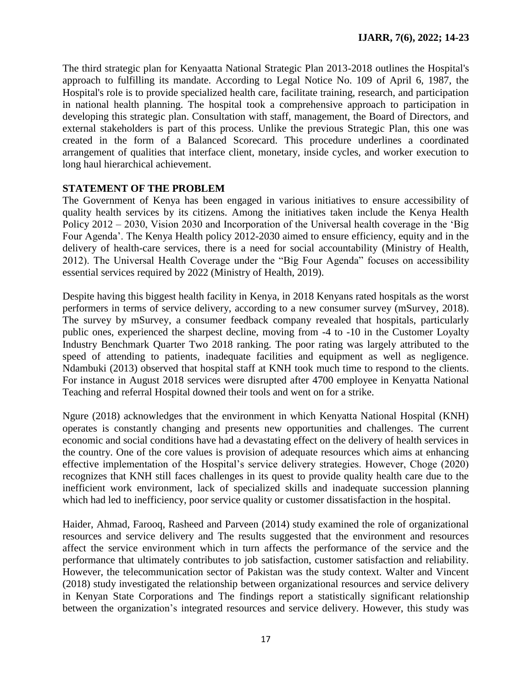The third strategic plan for Kenyaatta National Strategic Plan 2013-2018 outlines the Hospital's approach to fulfilling its mandate. According to Legal Notice No. 109 of April 6, 1987, the Hospital's role is to provide specialized health care, facilitate training, research, and participation in national health planning. The hospital took a comprehensive approach to participation in developing this strategic plan. Consultation with staff, management, the Board of Directors, and external stakeholders is part of this process. Unlike the previous Strategic Plan, this one was created in the form of a Balanced Scorecard. This procedure underlines a coordinated arrangement of qualities that interface client, monetary, inside cycles, and worker execution to long haul hierarchical achievement.

## **STATEMENT OF THE PROBLEM**

The Government of Kenya has been engaged in various initiatives to ensure accessibility of quality health services by its citizens. Among the initiatives taken include the Kenya Health Policy 2012 – 2030, Vision 2030 and Incorporation of the Universal health coverage in the "Big Four Agenda". The Kenya Health policy 2012-2030 aimed to ensure efficiency, equity and in the delivery of health-care services, there is a need for social accountability (Ministry of Health, 2012). The Universal Health Coverage under the "Big Four Agenda" focuses on accessibility essential services required by 2022 (Ministry of Health, 2019).

Despite having this biggest health facility in Kenya, in 2018 Kenyans rated hospitals as the worst performers in terms of service delivery, according to a new consumer survey (mSurvey, 2018). The survey by mSurvey, a consumer feedback company revealed that hospitals, particularly public ones, experienced the sharpest decline, moving from -4 to -10 in the Customer Loyalty Industry Benchmark Quarter Two 2018 ranking. The poor rating was largely attributed to the speed of attending to patients, inadequate facilities and equipment as well as negligence. Ndambuki (2013) observed that hospital staff at KNH took much time to respond to the clients. For instance in August 2018 services were disrupted after 4700 employee in Kenyatta National Teaching and referral Hospital downed their tools and went on for a strike.

Ngure (2018) acknowledges that the environment in which Kenyatta National Hospital (KNH) operates is constantly changing and presents new opportunities and challenges. The current economic and social conditions have had a devastating effect on the delivery of health services in the country. One of the core values is provision of adequate resources which aims at enhancing effective implementation of the Hospital's service delivery strategies. However, Choge (2020) recognizes that KNH still faces challenges in its quest to provide quality health care due to the inefficient work environment, lack of specialized skills and inadequate succession planning which had led to inefficiency, poor service quality or customer dissatisfaction in the hospital.

Haider, Ahmad, Farooq, Rasheed and Parveen (2014) study examined the role of organizational resources and service delivery and The results suggested that the environment and resources affect the service environment which in turn affects the performance of the service and the performance that ultimately contributes to job satisfaction, customer satisfaction and reliability. However, the telecommunication sector of Pakistan was the study context. Walter and Vincent (2018) study investigated the relationship between organizational resources and service delivery in Kenyan State Corporations and The findings report a statistically significant relationship between the organization"s integrated resources and service delivery. However, this study was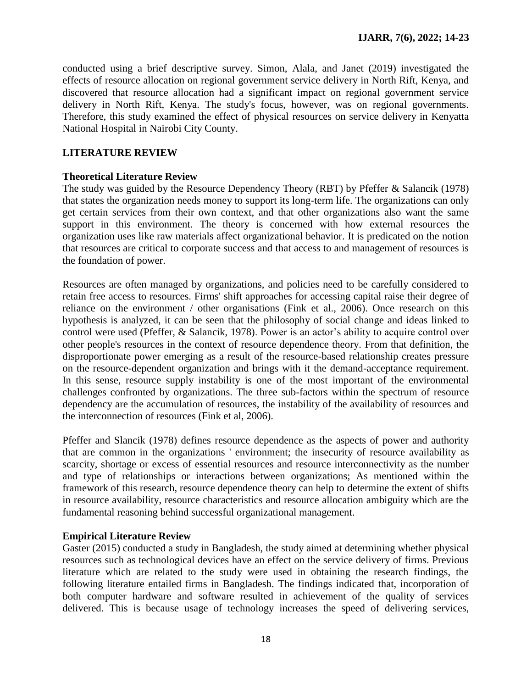conducted using a brief descriptive survey. Simon, Alala, and Janet (2019) investigated the effects of resource allocation on regional government service delivery in North Rift, Kenya, and discovered that resource allocation had a significant impact on regional government service delivery in North Rift, Kenya. The study's focus, however, was on regional governments. Therefore, this study examined the effect of physical resources on service delivery in Kenyatta National Hospital in Nairobi City County.

## **LITERATURE REVIEW**

## **Theoretical Literature Review**

The study was guided by the Resource Dependency Theory (RBT) by Pfeffer & Salancik (1978) that states the organization needs money to support its long-term life. The organizations can only get certain services from their own context, and that other organizations also want the same support in this environment. The theory is concerned with how external resources the organization uses like raw materials affect organizational behavior. It is predicated on the notion that resources are critical to corporate success and that access to and management of resources is the foundation of power.

Resources are often managed by organizations, and policies need to be carefully considered to retain free access to resources. Firms' shift approaches for accessing capital raise their degree of reliance on the environment / other organisations (Fink et al., 2006). Once research on this hypothesis is analyzed, it can be seen that the philosophy of social change and ideas linked to control were used (Pfeffer, & Salancik, 1978). Power is an actor's ability to acquire control over other people's resources in the context of resource dependence theory. From that definition, the disproportionate power emerging as a result of the resource-based relationship creates pressure on the resource-dependent organization and brings with it the demand-acceptance requirement. In this sense, resource supply instability is one of the most important of the environmental challenges confronted by organizations. The three sub-factors within the spectrum of resource dependency are the accumulation of resources, the instability of the availability of resources and the interconnection of resources (Fink et al, 2006).

Pfeffer and Slancik (1978) defines resource dependence as the aspects of power and authority that are common in the organizations ' environment; the insecurity of resource availability as scarcity, shortage or excess of essential resources and resource interconnectivity as the number and type of relationships or interactions between organizations; As mentioned within the framework of this research, resource dependence theory can help to determine the extent of shifts in resource availability, resource characteristics and resource allocation ambiguity which are the fundamental reasoning behind successful organizational management.

## **Empirical Literature Review**

Gaster (2015) conducted a study in Bangladesh, the study aimed at determining whether physical resources such as technological devices have an effect on the service delivery of firms. Previous literature which are related to the study were used in obtaining the research findings, the following literature entailed firms in Bangladesh. The findings indicated that, incorporation of both computer hardware and software resulted in achievement of the quality of services delivered. This is because usage of technology increases the speed of delivering services,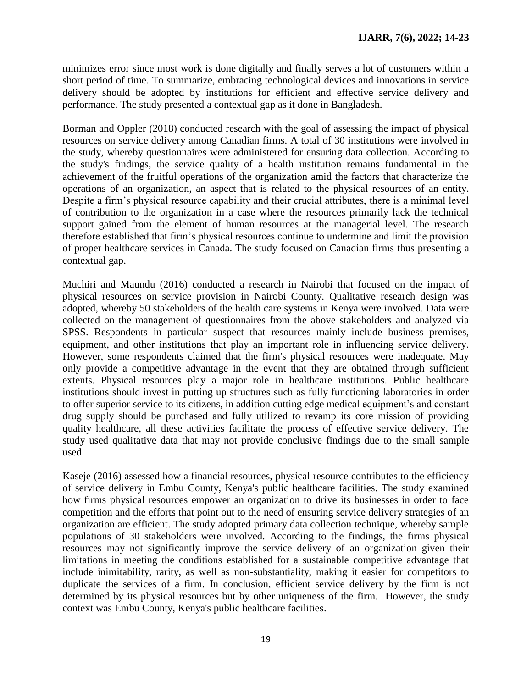minimizes error since most work is done digitally and finally serves a lot of customers within a short period of time. To summarize, embracing technological devices and innovations in service delivery should be adopted by institutions for efficient and effective service delivery and performance. The study presented a contextual gap as it done in Bangladesh.

Borman and Oppler (2018) conducted research with the goal of assessing the impact of physical resources on service delivery among Canadian firms. A total of 30 institutions were involved in the study, whereby questionnaires were administered for ensuring data collection. According to the study's findings, the service quality of a health institution remains fundamental in the achievement of the fruitful operations of the organization amid the factors that characterize the operations of an organization, an aspect that is related to the physical resources of an entity. Despite a firm's physical resource capability and their crucial attributes, there is a minimal level of contribution to the organization in a case where the resources primarily lack the technical support gained from the element of human resources at the managerial level. The research therefore established that firm"s physical resources continue to undermine and limit the provision of proper healthcare services in Canada. The study focused on Canadian firms thus presenting a contextual gap.

Muchiri and Maundu (2016) conducted a research in Nairobi that focused on the impact of physical resources on service provision in Nairobi County. Qualitative research design was adopted, whereby 50 stakeholders of the health care systems in Kenya were involved. Data were collected on the management of questionnaires from the above stakeholders and analyzed via SPSS. Respondents in particular suspect that resources mainly include business premises, equipment, and other institutions that play an important role in influencing service delivery. However, some respondents claimed that the firm's physical resources were inadequate. May only provide a competitive advantage in the event that they are obtained through sufficient extents. Physical resources play a major role in healthcare institutions. Public healthcare institutions should invest in putting up structures such as fully functioning laboratories in order to offer superior service to its citizens, in addition cutting edge medical equipment"s and constant drug supply should be purchased and fully utilized to revamp its core mission of providing quality healthcare, all these activities facilitate the process of effective service delivery. The study used qualitative data that may not provide conclusive findings due to the small sample used.

Kaseje (2016) assessed how a financial resources, physical resource contributes to the efficiency of service delivery in Embu County, Kenya's public healthcare facilities. The study examined how firms physical resources empower an organization to drive its businesses in order to face competition and the efforts that point out to the need of ensuring service delivery strategies of an organization are efficient. The study adopted primary data collection technique, whereby sample populations of 30 stakeholders were involved. According to the findings, the firms physical resources may not significantly improve the service delivery of an organization given their limitations in meeting the conditions established for a sustainable competitive advantage that include inimitability, rarity, as well as non-substantiality, making it easier for competitors to duplicate the services of a firm. In conclusion, efficient service delivery by the firm is not determined by its physical resources but by other uniqueness of the firm. However, the study context was Embu County, Kenya's public healthcare facilities.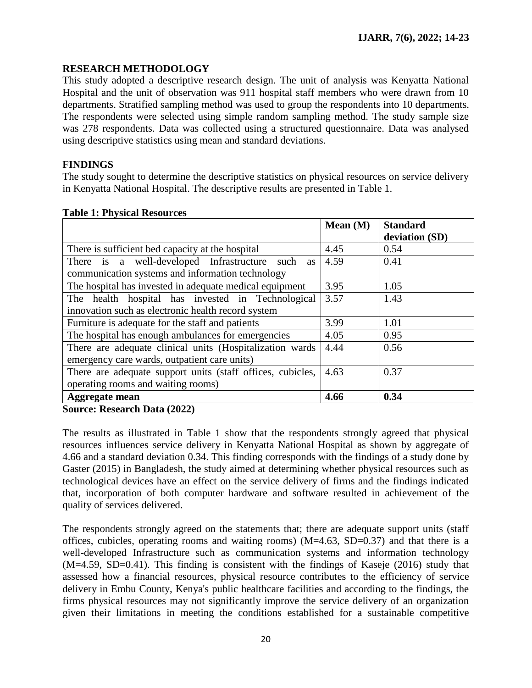# **RESEARCH METHODOLOGY**

This study adopted a descriptive research design. The unit of analysis was Kenyatta National Hospital and the unit of observation was 911 hospital staff members who were drawn from 10 departments. Stratified sampling method was used to group the respondents into 10 departments. The respondents were selected using simple random sampling method. The study sample size was 278 respondents. Data was collected using a structured questionnaire. Data was analysed using descriptive statistics using mean and standard deviations.

## **FINDINGS**

The study sought to determine the descriptive statistics on physical resources on service delivery in Kenyatta National Hospital. The descriptive results are presented in Table 1.

|                                                            | Mean $(M)$ | <b>Standard</b> |
|------------------------------------------------------------|------------|-----------------|
|                                                            |            | deviation (SD)  |
| There is sufficient bed capacity at the hospital           | 4.45       | 0.54            |
| There is a well-developed Infrastructure such as           | 4.59       | 0.41            |
| communication systems and information technology           |            |                 |
| The hospital has invested in adequate medical equipment    | 3.95       | 1.05            |
| The health hospital has invested in Technological          | 3.57       | 1.43            |
| innovation such as electronic health record system         |            |                 |
| Furniture is adequate for the staff and patients           | 3.99       | 1.01            |
| The hospital has enough ambulances for emergencies         | 4.05       | 0.95            |
| There are adequate clinical units (Hospitalization wards)  | 4.44       | 0.56            |
| emergency care wards, outpatient care units)               |            |                 |
| There are adequate support units (staff offices, cubicles, | 4.63       | 0.37            |
| operating rooms and waiting rooms)                         |            |                 |
| <b>Aggregate mean</b>                                      | 4.66       | 0.34            |

#### **Table 1: Physical Resources**

**Source: Research Data (2022)**

The results as illustrated in Table 1 show that the respondents strongly agreed that physical resources influences service delivery in Kenyatta National Hospital as shown by aggregate of 4.66 and a standard deviation 0.34. This finding corresponds with the findings of a study done by Gaster (2015) in Bangladesh, the study aimed at determining whether physical resources such as technological devices have an effect on the service delivery of firms and the findings indicated that, incorporation of both computer hardware and software resulted in achievement of the quality of services delivered.

The respondents strongly agreed on the statements that; there are adequate support units (staff offices, cubicles, operating rooms and waiting rooms)  $(M=4.63, SD=0.37)$  and that there is a well-developed Infrastructure such as communication systems and information technology  $(M=4.59, SD=0.41)$ . This finding is consistent with the findings of Kaseje (2016) study that assessed how a financial resources, physical resource contributes to the efficiency of service delivery in Embu County, Kenya's public healthcare facilities and according to the findings, the firms physical resources may not significantly improve the service delivery of an organization given their limitations in meeting the conditions established for a sustainable competitive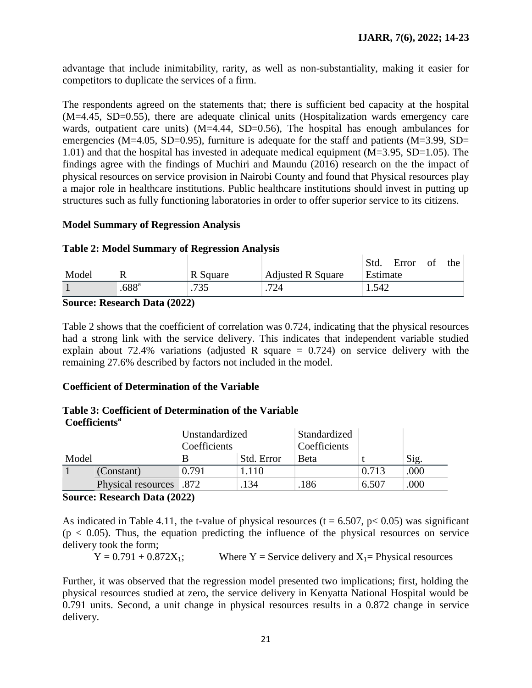advantage that include inimitability, rarity, as well as non-substantiality, making it easier for competitors to duplicate the services of a firm.

The respondents agreed on the statements that; there is sufficient bed capacity at the hospital (M=4.45, SD=0.55), there are adequate clinical units (Hospitalization wards emergency care wards, outpatient care units) (M=4.44, SD=0.56), The hospital has enough ambulances for emergencies (M=4.05, SD=0.95), furniture is adequate for the staff and patients (M=3.99, SD= 1.01) and that the hospital has invested in adequate medical equipment (M=3.95, SD=1.05). The findings agree with the findings of Muchiri and Maundu (2016) research on the the impact of physical resources on service provision in Nairobi County and found that Physical resources play a major role in healthcare institutions. Public healthcare institutions should invest in putting up structures such as fully functioning laboratories in order to offer superior service to its citizens.

## **Model Summary of Regression Analysis**

## **Table 2: Model Summary of Regression Analysis**

|       |                     |          |                   | Std.     | Error | ОŤ | the |
|-------|---------------------|----------|-------------------|----------|-------|----|-----|
| Model |                     | R Square | Adjusted R Square | Estimate |       |    |     |
|       | $.688$ <sup>a</sup> | .735     | .724              | 1.542    |       |    |     |

#### **Source: Research Data (2022)**

Table 2 shows that the coefficient of correlation was 0.724, indicating that the physical resources had a strong link with the service delivery. This indicates that independent variable studied explain about 72.4% variations (adjusted R square  $= 0.724$ ) on service delivery with the remaining 27.6% described by factors not included in the model.

## **Coefficient of Determination of the Variable**

## **Table 3: Coefficient of Determination of the Variable Coefficients<sup>a</sup>**

|       |                         | Unstandardized |            | Standardized |       |                  |
|-------|-------------------------|----------------|------------|--------------|-------|------------------|
|       |                         | Coefficients   |            | Coefficients |       |                  |
| Model |                         |                | Std. Error | <b>Beta</b>  |       | $\mathrm{S1}g$ . |
|       | (Constant)              | 0.791          | 1.110      |              | 0.713 | .000             |
|       | Physical resources .872 |                | 134        | .186         | 6.507 | .000             |
|       |                         |                |            |              |       |                  |

## **Source: Research Data (2022)**

As indicated in Table 4.11, the t-value of physical resources ( $t = 6.507$ ,  $p < 0.05$ ) was significant  $(p < 0.05)$ . Thus, the equation predicting the influence of the physical resources on service delivery took the form;

 $Y = 0.791 + 0.872X_1$ ; Where  $Y =$  Service delivery and  $X_1 =$  Physical resources

Further, it was observed that the regression model presented two implications; first, holding the physical resources studied at zero, the service delivery in Kenyatta National Hospital would be 0.791 units. Second, a unit change in physical resources results in a 0.872 change in service delivery.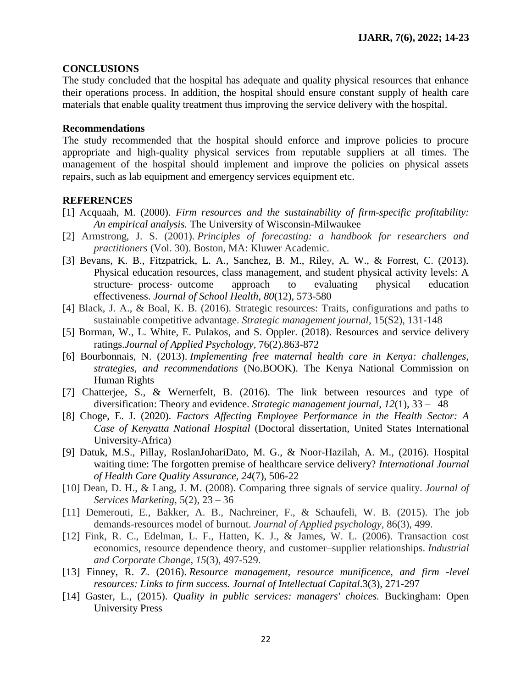#### **CONCLUSIONS**

The study concluded that the hospital has adequate and quality physical resources that enhance their operations process. In addition, the hospital should ensure constant supply of health care materials that enable quality treatment thus improving the service delivery with the hospital.

#### **Recommendations**

The study recommended that the hospital should enforce and improve policies to procure appropriate and high-quality physical services from reputable suppliers at all times. The management of the hospital should implement and improve the policies on physical assets repairs, such as lab equipment and emergency services equipment etc.

## **REFERENCES**

- [1] Acquaah, M. (2000). *Firm resources and the sustainability of firm-specific profitability: An empirical analysis.* The University of Wisconsin-Milwaukee
- [2] Armstrong, J. S. (2001). *Principles of forecasting: a handbook for researchers and practitioners* (Vol. 30). Boston, MA: Kluwer Academic.
- [3] Bevans, K. B., Fitzpatrick, L. A., Sanchez, B. M., Riley, A. W., & Forrest, C. (2013). Physical education resources, class management, and student physical activity levels: A structure‐ process‐ outcome approach to evaluating physical education effectiveness. *Journal of School Health*, *80*(12), 573-580
- [4] Black, J. A., & Boal, K. B. (2016). Strategic resources: Traits, configurations and paths to sustainable competitive advantage. *Strategic management journal,* 15(S2), 131-148
- [5] Borman, W., L. White, E. Pulakos, and S. Oppler. (2018). Resources and service delivery ratings.*Journal of Applied Psychology,* 76(2).863-872
- [6] Bourbonnais, N. (2013). *Implementing free maternal health care in Kenya: challenges, strategies, and recommendations* (No.BOOK). The Kenya National Commission on Human Rights
- [7] Chatterjee, S., & Wernerfelt, B. (2016). The link between resources and type of diversification: Theory and evidence. *Strategic management journal*, *12*(1), 33 – 48
- [8] Choge, E. J. (2020). *Factors Affecting Employee Performance in the Health Sector: A Case of Kenyatta National Hospital* (Doctoral dissertation, United States International University-Africa)
- [9] Datuk, M.S., Pillay, RoslanJohariDato, M. G., & Noor-Hazilah, A. M., (2016). Hospital waiting time: The forgotten premise of healthcare service delivery? *International Journal of Health Care Quality Assurance, 24*(7), 506-22
- [10] Dean, D. H., & Lang, J. M. (2008). Comparing three signals of service quality. *Journal of Services Marketing*, 5(2), 23 – 36
- [11] Demerouti, E., Bakker, A. B., Nachreiner, F., & Schaufeli, W. B. (2015). The job demands-resources model of burnout. *Journal of Applied psychology,* 86(3), 499.
- [12] Fink, R. C., Edelman, L. F., Hatten, K. J., & James, W. L. (2006). Transaction cost economics, resource dependence theory, and customer–supplier relationships. *Industrial and Corporate Change*, *15*(3), 497-529.
- [13] Finney, R. Z. (2016). *Resource management, resource munificence, and firm -level resources: Links to firm success. Journal of Intellectual Capital*.3(3), 271-297
- [14] Gaster, L., (2015). *Quality in public services: managers' choices.* Buckingham: Open University Press